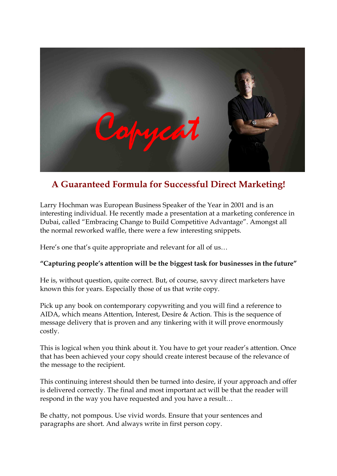

# **A Guaranteed Formula for Successful Direct Marketing!**

Larry Hochman was European Business Speaker of the Year in 2001 and is an interesting individual. He recently made a presentation at a marketing conference in Dubai, called "Embracing Change to Build Competitive Advantage". Amongst all the normal reworked waffle, there were a few interesting snippets.

Here's one that's quite appropriate and relevant for all of us...

# **"Capturing people's attention will be the biggest task for businesses in the future"**

He is, without question, quite correct. But, of course, savvy direct marketers have known this for years. Especially those of us that write copy.

Pick up any book on contemporary copywriting and you will find a reference to AIDA, which means Attention, Interest, Desire & Action. This is the sequence of message delivery that is proven and any tinkering with it will prove enormously costly.

This is logical when you think about it. You have to get your reader's attention. Once that has been achieved your copy should create interest because of the relevance of the message to the recipient.

This continuing interest should then be turned into desire, if your approach and offer is delivered correctly. The final and most important act will be that the reader will respond in the way you have requested and you have a result…

Be chatty, not pompous. Use vivid words. Ensure that your sentences and paragraphs are short. And always write in first person copy.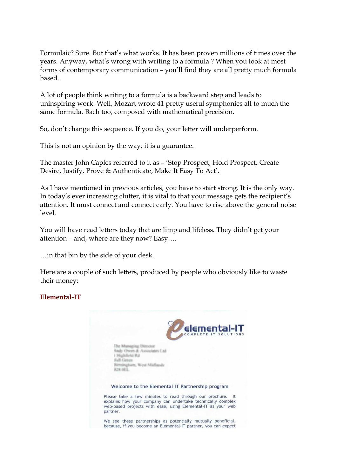Formulaic? Sure. But that's what works. It has been proven millions of times over the years. Anyway, what's wrong with writing to a formula ? When you look at most forms of contemporary communication – you'll find they are all pretty much formula based.

A lot of people think writing to a formula is a backward step and leads to uninspiring work. Well, Mozart wrote 41 pretty useful symphonies all to much the same formula. Bach too, composed with mathematical precision.

So, don't change this sequence. If you do, your letter will underperform.

This is not an opinion by the way, it is a guarantee.

The master John Caples referred to it as – 'Stop Prospect, Hold Prospect, Create Desire, Justify, Prove & Authenticate, Make It Easy To Act'.

As I have mentioned in previous articles, you have to start strong. It is the only way. In today's ever increasing clutter, it is vital to that your message gets the recipient's attention. It must connect and connect early. You have to rise above the general noise level.

You will have read letters today that are limp and lifeless. They didn't get your attention – and, where are they now? Easy….

…in that bin by the side of your desk.

Here are a couple of such letters, produced by people who obviously like to waste their money:

# **ElementalIT**

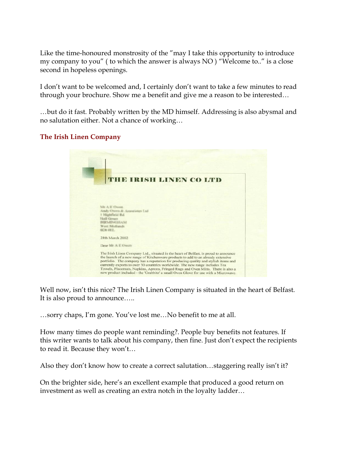Like the time-honoured monstrosity of the "may I take this opportunity to introduce my company to you" ( to which the answer is always NO ) "Welcome to.." is a close second in hopeless openings.

I don't want to be welcomed and, I certainly don't want to take a few minutes to read

through your brochure. Show me a benefit and give me a reason to be interested...<br>…but do it fast. Probably written by the MD himself. Addressing is also abysmal and no salutation either. Not a chance of working…

### **The Irish Linen Company**



Well now, isn't this nice? The Irish Linen Company is situated in the heart of Belfast. It is also proud to announce…..

…sorry chaps, I'm gone. You've lost me…No benefit to me at all.

How many times do people want reminding?. People buy benefits not features. If this writer wants to talk about his company, then fine. Just don't expect the recipients to read it. Because they won't...

Also they don't know how to create a correct salutation…staggering really isn't it?

On the brighter side, here's an excellent example that produced a good return on investment as well as creating an extra notch in the loyalty ladder…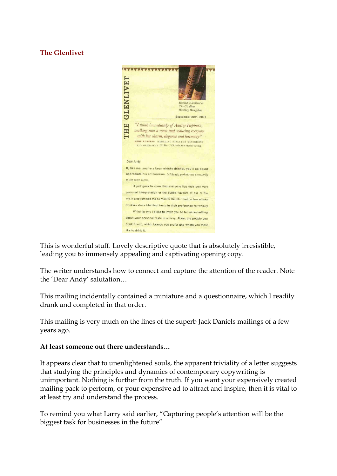# **The Glenlivet**



This is wonderful stuff. Lovely descriptive quote that is absolutely irresistible, leading you to immensely appealing and captivating opening copy.

The writer understands how to connect and capture the attention of the reader. Note the 'Dear Andy' salutation…

This mailing incidentally contained a miniature and a questionnaire, which I readily drank and completed in that order.

This mailing is very much on the lines of the superb Jack Daniels mailings of a few years ago.

## **At least someone out there understands…**

It appears clear that to unenlightened souls, the apparent triviality of a letter suggests that studying the principles and dynamics of contemporary copywriting is unimportant. Nothing is further from the truth. If you want your expensively created mailing pack to perform, or your expensive ad to attract and inspire, then it is vital to at least try and understand the process.

To remind you what Larry said earlier, "Capturing people's attention will be the biggest task for businesses in the future"